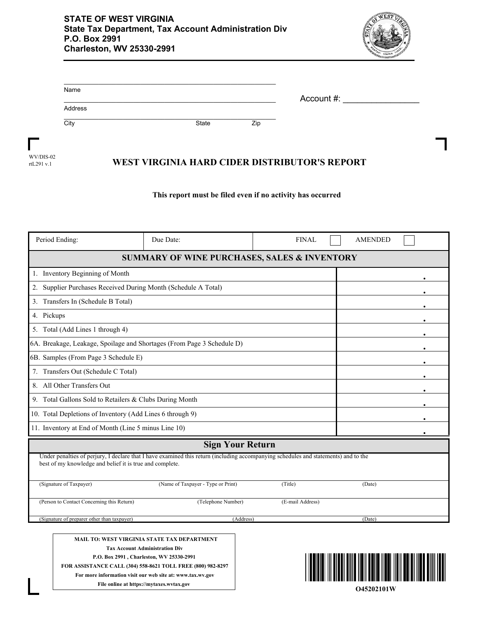

| Account #: |  |
|------------|--|
|            |  |
|            |  |
| Zip        |  |
|            |  |

WV/DIS-02 rtL291 v.1

## **WEST VIRGINIA HARD CIDER DISTRIBUTOR'S REPORT**

## **This report must be filed even if no activity has occurred**

| Period Ending:                                                         | Due Date:                                                                                                                           | <b>FINAL</b>     | <b>AMENDED</b> |
|------------------------------------------------------------------------|-------------------------------------------------------------------------------------------------------------------------------------|------------------|----------------|
|                                                                        | <b>SUMMARY OF WINE PURCHASES, SALES &amp; INVENTORY</b>                                                                             |                  |                |
| 1. Inventory Beginning of Month                                        |                                                                                                                                     |                  |                |
| Supplier Purchases Received During Month (Schedule A Total)<br>2.      |                                                                                                                                     |                  |                |
| Transfers In (Schedule B Total)<br>3.                                  |                                                                                                                                     |                  |                |
| 4. Pickups                                                             |                                                                                                                                     |                  |                |
| Total (Add Lines 1 through 4)<br>5.                                    |                                                                                                                                     |                  |                |
| 6A. Breakage, Leakage, Spoilage and Shortages (From Page 3 Schedule D) |                                                                                                                                     |                  |                |
| 6B. Samples (From Page 3 Schedule E)                                   |                                                                                                                                     |                  |                |
| 7. Transfers Out (Schedule C Total)                                    |                                                                                                                                     |                  |                |
| 8. All Other Transfers Out                                             |                                                                                                                                     |                  |                |
| 9. Total Gallons Sold to Retailers & Clubs During Month                |                                                                                                                                     |                  |                |
| 10. Total Depletions of Inventory (Add Lines 6 through 9)              |                                                                                                                                     |                  |                |
| 11. Inventory at End of Month (Line 5 minus Line 10)                   |                                                                                                                                     |                  |                |
|                                                                        | <b>Sign Your Return</b>                                                                                                             |                  |                |
| best of my knowledge and belief it is true and complete.               | Under penalties of perjury, I declare that I have examined this return (including accompanying schedules and statements) and to the |                  |                |
| (Signature of Taxpayer)                                                | (Name of Taxpayer - Type or Print)                                                                                                  | (Title)          | (Date)         |
| (Person to Contact Concerning this Return)                             | (Telephone Number)                                                                                                                  | (E-mail Address) |                |
| (Signature of preparer other than taxpayer)                            | (Address)                                                                                                                           |                  | (Date)         |
|                                                                        | MAIL TO: WEST VIRGINIA STATE TAX DEPARTMENT<br><b>Tax Account Administration Div</b>                                                |                  |                |

**Tax Account Administration Div P.O. Box 2991 , Charleston, WV 25330-2991 FOR ASSISTANCE CALL (304) 558-8621 TOLL FREE (800) 982-8297 For more information visit our web site at: www.tax.wv.gov File online at https://mytaxes.wvtax.gov**

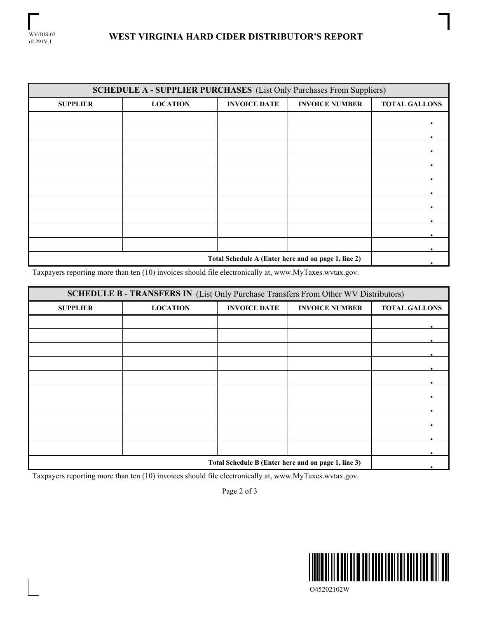| <b>SCHEDULE A - SUPPLIER PURCHASES</b> (List Only Purchases From Suppliers) |                 |                     |                       |                      |
|-----------------------------------------------------------------------------|-----------------|---------------------|-----------------------|----------------------|
| <b>SUPPLIER</b>                                                             | <b>LOCATION</b> | <b>INVOICE DATE</b> | <b>INVOICE NUMBER</b> | <b>TOTAL GALLONS</b> |
|                                                                             |                 |                     |                       |                      |
|                                                                             |                 |                     |                       |                      |
|                                                                             |                 |                     |                       |                      |
|                                                                             |                 |                     |                       |                      |
|                                                                             |                 |                     |                       |                      |
|                                                                             |                 |                     |                       |                      |
|                                                                             |                 |                     |                       |                      |
|                                                                             |                 |                     |                       |                      |
|                                                                             |                 |                     |                       |                      |
|                                                                             |                 |                     |                       |                      |
| Total Schedule A (Enter here and on page 1, line 2)                         |                 |                     |                       |                      |

Taxpayers reporting more than ten (10) invoices should file electronically at, www.MyTaxes.wvtax.gov.

| <b>SCHEDULE B - TRANSFERS IN (List Only Purchase Transfers From Other WV Distributors)</b> |                 |                     |                       |                      |  |
|--------------------------------------------------------------------------------------------|-----------------|---------------------|-----------------------|----------------------|--|
| <b>SUPPLIER</b>                                                                            | <b>LOCATION</b> | <b>INVOICE DATE</b> | <b>INVOICE NUMBER</b> | <b>TOTAL GALLONS</b> |  |
|                                                                                            |                 |                     |                       |                      |  |
|                                                                                            |                 |                     |                       |                      |  |
|                                                                                            |                 |                     |                       |                      |  |
|                                                                                            |                 |                     |                       |                      |  |
|                                                                                            |                 |                     |                       |                      |  |
|                                                                                            |                 |                     |                       |                      |  |
|                                                                                            |                 |                     |                       |                      |  |
|                                                                                            |                 |                     |                       |                      |  |
|                                                                                            |                 |                     |                       |                      |  |
|                                                                                            |                 |                     |                       |                      |  |
| Total Schedule B (Enter here and on page 1, line 3)                                        |                 |                     |                       |                      |  |

Taxpayers reporting more than ten (10) invoices should file electronically at, www.MyTaxes.wvtax.gov.

Page 2 of 3



O45202102W